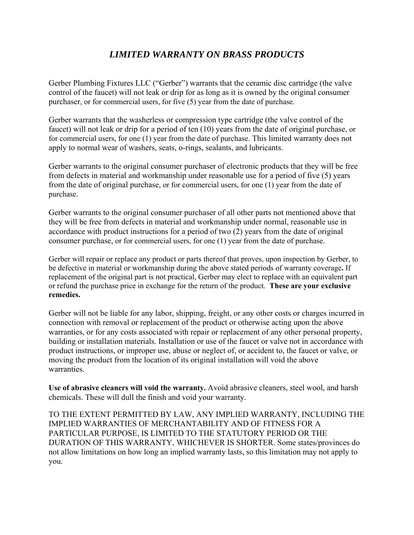## *LIMITED WARRANTY ON BRASS PRODUCTS*

Gerber Plumbing Fixtures LLC ("Gerber") warrants that the ceramic disc cartridge (the valve control of the faucet) will not leak or drip for as long as it is owned by the original consumer purchaser, or for commercial users, for five (5) year from the date of purchase.

Gerber warrants that the washerless or compression type cartridge (the valve control of the faucet) will not leak or drip for a period of ten (10) years from the date of original purchase, or for commercial users, for one (1) year from the date of purchase. This limited warranty does not apply to normal wear of washers, seats, o-rings, sealants, and lubricants.

Gerber warrants to the original consumer purchaser of electronic products that they will be free from defects in material and workmanship under reasonable use for a period of five (5) years from the date of original purchase, or for commercial users, for one (1) year from the date of purchase.

Gerber warrants to the original consumer purchaser of all other parts not mentioned above that they will be free from defects in material and workmanship under normal, reasonable use in accordance with product instructions for a period of two (2) years from the date of original consumer purchase, or for commercial users, for one (1) year from the date of purchase.

Gerber will repair or replace any product or parts thereof that proves, upon inspection by Gerber, to be defective in material or workmanship during the above stated periods of warranty coverage**.** If replacement of the original part is not practical, Gerber may elect to replace with an equivalent part or refund the purchase price in exchange for the return of the product. **These are your exclusive remedies.**

Gerber will not be liable for any labor, shipping, freight, or any other costs or charges incurred in connection with removal or replacement of the product or otherwise acting upon the above warranties, or for any costs associated with repair or replacement of any other personal property, building or installation materials. Installation or use of the faucet or valve not in accordance with product instructions, or improper use, abuse or neglect of, or accident to, the faucet or valve, or moving the product from the location of its original installation will void the above warranties.

**Use of abrasive cleaners will void the warranty.** Avoid abrasive cleaners, steel wool, and harsh chemicals. These will dull the finish and void your warranty.

TO THE EXTENT PERMITTED BY LAW, ANY IMPLIED WARRANTY, INCLUDING THE IMPLIED WARRANTIES OF MERCHANTABILITY AND OF FITNESS FOR A PARTICULAR PURPOSE, IS LIMITED TO THE STATUTORY PERIOD OR THE DURATION OF THIS WARRANTY, WHICHEVER IS SHORTER. Some states/provinces do not allow limitations on how long an implied warranty lasts, so this limitation may not apply to you.